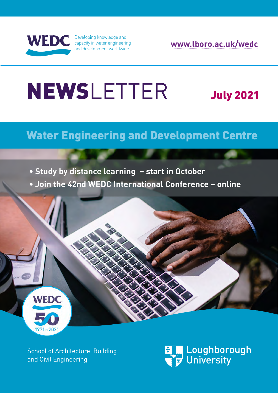

Developing knowledge and [capacity in water engineering](http://www.lboro.ac.uk/research/wedc)  and development worldwide

**[www.lboro.ac.uk/wedc](http://www.lboro.ac.uk/research/wedc)**

# NEWSLETTER July 2021

## Water Engineering and Development Centre

**• Study by distance learning – start in October**

**• Join the 42nd WEDC International Conference – online** 



[School of Architecture, Building](https://www.lboro.ac.uk/departments/abce/)  [and Civil Engineering](https://www.lboro.ac.uk/departments/abce/)

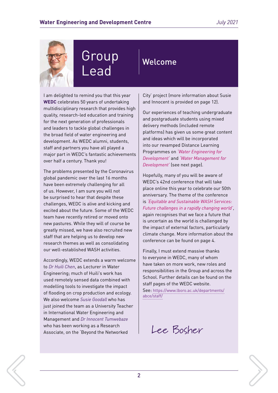

## Group Lead

Welcome

I am delighted to remind you that this year **WEDC** celebrates 50 years of undertaking multidisciplinary research that provides high quality, research-led education and training for the next generation of professionals and leaders to tackle global challenges in the broad field of water engineering and development. As WEDC alumni, students, staff and partners you have all played a major part in WEDC's fantastic achievements over half a century. Thank you!

The problems presented by the Coronavirus global pandemic over the last 16 months have been extremely challenging for all of us. However, I am sure you will not be surprised to hear that despite these challenges, WEDC is alive and kicking and excited about the future. Some of the WEDC team have recently retired or moved onto new pastures. While they will of course be greatly missed, we have also recruited new staff that are helping us to develop new research themes as well as consolidating our well-established WASH activities.

Accordingly, WEDC extends a warm welcome to *[Dr Huili Chen](mailto:H.Chen2%40lboro.ac.uk?subject=)*, as Lecturer in Water Engineering; much of Huili's work has used remotely sensed data combined with modelling tools to investigate the impact of flooding on crop production and ecology. We also welcome *[Susie Goodall](mailto:S.Goodall%40lboro.ac.uk?subject=)* who has just joined the team as a University Teacher in International Water Engineering and Management and *[Dr Innocent Tumwebaze](mailto:I.K.Tumwebaze%40lboro.ac.uk?subject=)* who has been working as a Research Associate, on the 'Beyond the Networked

City' project (more information about Susie and Innocent is provided [on page 12](#page-11-0)).

Our experiences of teaching undergraduate and postgraduate students using mixed delivery methods (included remote platforms) has given us some great content and ideas which will be incorporated into our revamped Distance Learning Programmes on *'Water Engineering for Development'* and *'Water Management for Development'* [\(see next page\)](#page-2-0).

Hopefully, many of you will be aware of WEDC's 42nd conference that will take place online this year to celebrate our 50th anniversary. The theme of the conference is *'Equitable and Sustainable WASH Services: Future challenges in a rapidly changing world'*, again recognises that we face a future that is uncertain as the world is challenged by the impact of external factors, particularly climate change. More information about the conference can be [found on page 4.](#page-3-0)

Finally, I must extend massive thanks to everyone in WEDC, many of whom have taken on more work, new roles and responsibilities in the Group and across the School. Further details can be found on the staff pages of the WEDC website.

See: [https://www.lboro.ac.uk/departments/](https://www.lboro.ac.uk/departments/abce/staff/) [abce/staff/](https://www.lboro.ac.uk/departments/abce/staff/)

Lee Bosher

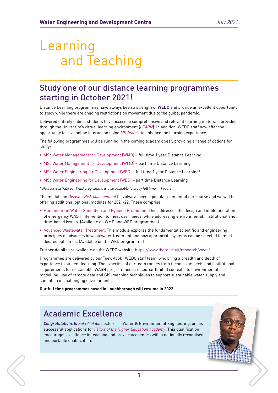## <span id="page-2-0"></span>Learning and Teaching

### Study one of our distance learning programmes starting in October 2021!

Distance Learning programmes have always been a strength of **WEDC** and provide an excellent opportunity to study while there are ongoing restrictions on movement due to the global pandemic.

Delivered entirely online, students have access to comprehensive and relevant learning materials provided through the University's virtual learning environment (*LEARN*). In addition, WEDC staff now offer the opportunity for live online interaction using *MS Teams*, to enhance the learning experience.

The following programmes will be running in the coming academic year, providing a range of options for study:

- MSc Water Management for Development (WMD) full time 1 year Distance Learning
- MSc Water Management for Development (WMD) part time Distance Learning
- MSc Water Engineering for Development (WED) full time 1 year Distance Learning\*
- MSc Water Engineering for Development (WED) part time Distance Learning

*\* New for 2021/22: our WED programme is also available to study full time in 1 year!*

The module on *Disaster Risk Management* has always been a popular element of our course and we will be offering additional optional modules for 2021/22. These comprise:

- Humanitarian Water, Sanitation and Hygiene Promotion: This addresses the design and implementation of emergency WASH intervention to meet user needs, while addressing environmental, institutional and time-based issues. (Available on WMD and WED programmes)
- Advanced Wastewater Treatment: This module explores the fundamental scientific and engineering principles of advances in wastewater treatment and how appropriate systems can be selected to meet desired outcomes. (Available on the WED programme)

Further details are available on the WEDC website:<https://www.lboro.ac.uk/research/wedc/>

Programmes are delivered by our "new-look" WEDC staff team, who bring a breadth and depth of experience to student learning. The expertise of our team ranges from technical aspects and institutional requirements for sustainable WASH programmes in resource-limited contexts, to environmental modelling, use of remote data and GIS-mapping techniques to support sustainable water supply and sanitation in challenging environments.

**Our full time programmes based in Loughborough will resume in 2022.**

### Academic Excellence

*Congratulations to [Sola Afolabi](mailto:O.O.D.Afolabi2%40lboro.ac.uk?subject=),* Lecturer in Water & Environmental Engineering, on his successful applications for *Fellow of the Higher Education Academy*. Thia qualification encourages excellence in teaching and provide academics with a nationally recognised and portable qualification.



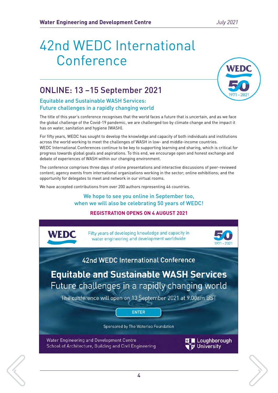## <span id="page-3-0"></span>42nd WEDC International Conference



### ONLINE: 13 –15 September 2021

### Equitable and Sustainable WASH Services: Future challenges in a rapidly changing world

The title of this year's conference recognises that the world faces a future that is uncertain, and as we face the global challenge of the Covid-19 pandemic, we are challenged too by climate change and the impact it has on water, sanitation and hygiene (WASH).

For fifty years, WEDC has sought to develop the knowledge and capacity of both individuals and institutions across the world working to meet the challenges of WASH in low- and middle-income countries. WEDC International Conferences continue to be key to supporting learning and sharing, which is critical for progress towards global goals and aspirations. To this end, we encourage open and honest exchange and debate of experiences of WASH within our changing environment.

The conference comprises three days of online presentations and interactive discussions of peer-reviewed content; agency events from international organizations working in the sector; online exhibitions; and the opportunity for delegates to meet and network in our virtual rooms.

We have accepted contributions from over 200 authors representing 46 countries.

### We hope to see you online in September too, when we will also be celebrating 50 years of WEDC!

#### **REGISTRATION OPENS ON 4 AUGUST 2021**

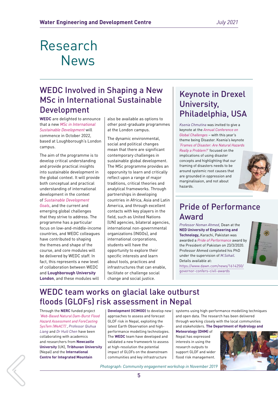### WEDC Involved in Shaping a New MSc in International Sustainable Development

**WEDC** are delighted to announce that a new *MSc in International Sustainable Development* will commence in October 2022, based at Loughborough's London campus.

The aim of the programme is to develop critical understanding and provide practical insights into sustainable development in the global context. It will provide both conceptual and practical understanding of international development in the context of *Sustainable Development Goals*, and the current and emerging global challenges that they strive to address. The programme has a particular focus on low-and-middle-income countries, and WEDC colleagues have contributed to shaping the themes and shape of the course, and core modules will be delivered by WEDC staff. In fact, this represents a new level of collaboration between WEDC and **Loughborough University London**, and these modules will

also be available as options to other post-graduate programmes at the London campus.

The dynamic environmental, social and political changes mean that there are significant contemporary challenges in sustainable global development. The MSc programme provides an opporunity to learn and critically reflect upon a range of major traditions, critical theories and analytical frameworks. Through partnerships in developing countries in Africa, Asia and Latin America, and through excellent contacts with key players in the field, such as United Nations (UN) agencies, bilateral agencies, international non-governmental organizations (INGOs), and international corporations, students will have the opportunity to explore their specific interests and learn about tools, practices and infrastructures that can enable, facilitate or challenge social change and social justice.

### Keynote in Drexel University, Philadelphia, USA

*[Ksenia Chmutina](mailto:K.Chmutina%40lboro.ac.uk?subject=)* was invited to give a keynote at the *Annual Conference on Global Challenges* – with this year's theme being Disaster. Ksenia's keynote *'Frames of Disaster: Are Natural Hazards Really a Problem?'* focused on the implications of using disaster concepts and highlighting that our framing of disasters needs to be around systemic root causes that are grounded in oppression and marginalisaion, and not about hazards.



### Pride of Performance Award

*Professor Noman Ahmed*, Dean at the **NED University of Engineering and Technology,** Karachi, Pakistan was awarded a *Pride of Performance* award by the President of Pakistan on 23/3/2020. Professor Ahmed completed his PhD under the supervision of *[M.Sohail](mailto:M.Sohail%40lboro.ac.uk?subject=)*. Details available at:



[https://www.dawn.com/news/1614250/](https://bit.ly/3xM2SVC) [governor-confers-civil-awards](https://bit.ly/3xM2SVC)

### WEDC team works on glacial lake outburst floods (GLOFs) risk assessment in Nepal

Through the **NERC** funded project *'Web-Based Natural Dam-Burst Flood Hazard Assessment and ForeCasting SysTem (WeACT)'*, *[Professor Qiuhua](mailto:Q.Liang%40lboro.ac.uk?subject=)  [Liang](mailto:Q.Liang%40lboro.ac.uk?subject=)* and *[Dr Huili Chen](mailto:H.Chen2%40lboro.ac.uk?subject=)* have been collaborating with academics and researchers from **Newcastle University** (UK), **Tribhuvan University**  (Nepal) and the **International Centre for Integrated Mountain** 

**Development (ICIMOD)** to develop new approaches to assess and forecast GLOF risk in Nepal, exploiting the latest Earth Observation and highperformance modelling technologies. The **WEDC** team have developed and validated a new framework to assess at high-resolution the potential impact of GLOFs on the downstream communities and key infrastructure

systems using high-performance modelling techniques and open data. The research has been delivered through working closely with the local communities and stakeholders. **The Department of Hydrology and** 

**Meteorology (DHM)** of Nepal has expressed interests in using the research outputs to support GLOF and wider flood risk management.



*Photograph: Community engagement workshop in November 2019*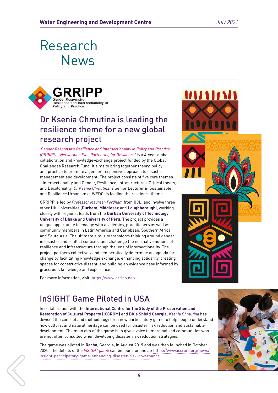

### Dr Ksenia Chmutina is leading the resilience theme for a new global research project

*'Gender Responsive Resilience and Intersectionality in Policy and Practice (GRRIPP) - Networking Plus Partnering for Resilience'* is a 4-year global collaboration and knowledge-exchange project funded by the Global Challenges Research Fund. It aims to bring together theory, policy and practice to promote a gender-responsive approach to disaster management and development. The project consists of five core themes - Intersectionality and Gender, Resilience, Infrastructures, Critical theory, and Decoloniality. *[Dr Ksenia Chmutina](mailto:K.Chmutina%40lboro.ac.uk?subject=)*, a Senior Lecturer in Sustainable and Resilience Urbanism at WEDC, is leading the resilience theme.

GRRIPP is led by *Professor Maureen Fordham* from **UCL**, and involve three other UK Universities (**Durham**, **Middlesex** and **Loughborough**), working closely with regional leads from the **Durban University of Technology**, **University of Dhaka** and **University of Peru**. The project provides a unique opportunity to engage with academics, practitioners as well as community members in Latin America and Caribbean, Southern Africa, and South Asia. The ultimate aim is to transform thinking around gender in disaster and conflict contexts, and challenge the normative notions of resilience and infrastructure through the lens of intersectionality. The project partners collectively and democratically determine an agenda for change by facilitating knowledge exchange, enhancing solidarity, creating spaces for constructive dissent, and building an evidence base informed by grassroots knowledge and experience.

For more information, visit:<https://www.grripp.net/>



### InSIGHT Game Piloted in USA

In collaboration with the **International Centre for the Study of the Preservation and Restoration of Cultural Property (ICCROM)** and **Blue Shield Georgia**, *[Ksenia Chmutina](mailto:K.Chmutina%40lboro.ac.uk?subject=)* has devised the concept and methodology for a new participatory game to help people understand how cultural and natural heritage can be used for disaster risk reduction and sustainable development. The main aim of the game is to give a voice to marginalised communities who are not often consulted when developing disaster risk reduction strategies.

The game was piloted in **Racha**, Georgia, in August 2019 and was then launched in October 2020. The details of the *InSIGHT game* can be found online at: [https://www.iccrom.org/news/](https://bit.ly/32yYYlU) [insight-participatory-game-enhancing-disaster-risk-governance](https://bit.ly/32yYYlU)

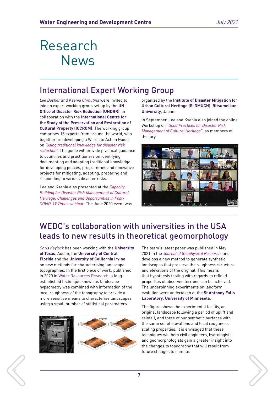### International Expert Working Group

*[Lee Bosher](mailto:L.Bosher%40lboro.ac.uk?subject=)* and *[Ksenia Chmutina](mailto:K.Chmutina%40lboro.ac.uk?subject=)* were invited to join an expert working group set up by the **UN Office of Disaster Risk Reduction (UNDRR)**, in collaboration with the **International Centre for the Study of the Preservation and Restoration of Cultural Property (ICCROM)**. The working group comprises 15 experts from around the world, who together are developing a Words to Action Guide on *'Using traditional knowledge for disaster risk reduction'*. The guide will provide practical guidance to countries and practitioners on identifying, documenting and adapting traditional knowledge for developing polices, programmes and innovative projects for mitigating, adapting, preparing and responding to various disaster risks.

Lee and Ksenia also presented at the *Capacity Building for Disaster Risk Management of Cultural Heritage: Challenges and Opportunities in Post-COVID-19 Times webinar*. The June 2020 event was organized by the **Institute of Disaster Mitigation for Urban Cultural Heritage (R-DMUCH)**, **Ritsumeikan University**, Japan.

In September, Lee and Ksenia also joined the online Workshop on *"Good Practices for Disaster Risk Management of Cultural Heritage"*, as members of the jury.



### WEDC's collaboration with universities in the USA leads to new results in theoretical geomorphology

*[Chris Keylock](mailto:C.J.Keylock%40lboro.ac.uk?subject=)* has been working with the **University of Texas**, Austin, the **University of Central Florida** and the **University of California Irvine** on new methods for characterising landscape topographies. In the first piece of work, published in 2020 in [Water Resources Research](https://agupubs.onlinelibrary.wiley.com/doi/10.1029/2019WR025412), a longestablished technique known as landscape hypsometry was combined with information of the local roughness of the topography to provide a more sensitive means to characterise landscapes using a small number of statistical parameters.



The team's latest paper was published in May 2021 in the *Journal of Geophysical Research*, and develops a new method to generate synthetic landscapes that preserve the roughness structure and elevations of the original. This means that hypothesis testing with regards to refined properties of observed terrains can be achieved. The underpinning experiments on landform evolution were undertaken at the **St Anthony Falls Laboratory**, **University of Minnesota**.

The figure shows the experimental facility, an original landscape following a period of uplift and rainfall, and three of our synthetic surfaces with the same set of elevations and local roughness scaling properties. It is envisaged that these techniques will help civil engineers, hydrologists and geomorphologists gain a greater insight into the changes to topography that will result from future changes to climate.

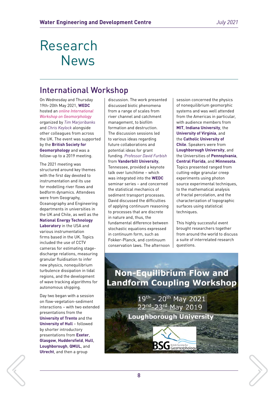### International Workshop

On Wednesday and Thursday 19th-20th May 2021, **WEDC** hosted an *online International Workshop on Geomorphology* organized by *[Tim Marjoribanks](mailto:T.I.Marjoribanks%40lboro.ac.uk?subject=)* and *[Chris Keylock](mailto:C.J.Keylock%40lboro.ac.uk?subject=)* alongside other colleagues from across the UK. The event was supported by the **British Society for Geomorphology** and was a follow-up to a 2019 meeting.

The 2021 meeting was structured around key themes with the first day devoted to instrumentation and its use for modelling river flows and bedform dynamics. Attendees were from Geography, Oceanography and Engineering departments in universities in the UK and Chile, as well as the **National Energy Technology Laboratory** in the USA and various instrumentation firms based in the UK. Topics included the use of CCTV cameras for estimating stagedischarge relations, measuring granular fluidisation to infer new physics, nonequilibrium turbulence dissipation in tidal regions, and the development of wave tracking algorithms for autonomous shipping.

Day two began with a session on flow-vegetation-sediment interactions – with two extended presentations from the **University of Trento** and the **University of Hull - followed** by shorter introductory presentations from **Exeter**, **Glasgow**, **Huddersfield**, **Hull**, **Loughborough**, **QMUL**, and **Utrecht**, and then a group

discussion. The work presented discussed biotic phenomena from a range of scales from river channel and catchment management, to biofilm formation and destruction. The discussion sessions led to various ideas regarding future collaborations and potential ideas for grant funding. *Professor David Furbish* from **Vanderbilt University**, Tennessee, provided a keynote talk over lunchtime – which was integrated into the **WEDC** seminar series – and concerned the statistical mechanics of sediment transport processes. David discussed the difficulties of applying continuum reasoning to processes that are discrete in nature and, thus, the fundamental difference between stochastic equations expressed in continuum form, such as Fokker-Planck, and continuum conservation laws. The afternoon

session concerned the physics of nonequilibrium geomorphic systems and was well attended from the Americas in particular, with audience members from **MIT**, **Indiana University**, the **University of Virginia**, and the **Catholic University of Chile**. Speakers were from **Loughborough University**, and the Universities of **Pennsylvania**, **Central Florida**, and **Minnesota**. Topics presented ranged from cutting-edge granular creep experiments using photon source experimental techniques, to the mathematical analysis of fractal percolation, and the characterization of topographic surfaces using statistical techniques.

This highly successful event brought researchers together from around the world to discuss a suite of interrelated research questions.



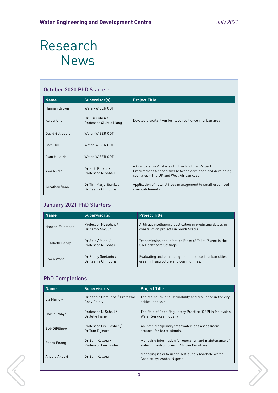### October 2020 PhD Starters

| <b>Name</b>     | Supervisor(s)                               | <b>Project Title</b>                                                                                                                                     |
|-----------------|---------------------------------------------|----------------------------------------------------------------------------------------------------------------------------------------------------------|
| Hannah Brown    | Water-WISER CDT                             |                                                                                                                                                          |
| Kaicui Chen     | Dr Huili Chen /<br>Professor Qiuhua Liang   | Develop a digital twin for flood resilience in urban area                                                                                                |
| David Galibourg | Water-WISER CDT                             |                                                                                                                                                          |
| Bart Hill       | Water-WISER CDT                             |                                                                                                                                                          |
| Ayan Hujaleh    | Water-WISER CDT                             |                                                                                                                                                          |
| Awa Nkole       | Dr Kirti Ruikar /<br>Professor M Sohail     | A Comparative Analysis of Infrastructural Project<br>Procurement Mechanisms between developed and developing<br>countries - The UK and West African case |
| Jonathan Vann   | Dr Tim Marjoribanks /<br>Dr Ksenia Chmutina | Application of natural flood management to small urbanised<br>river catchments                                                                           |

### January 2021 PhD Starters

| <b>Name</b>     | Supervisor(s)                             | <b>Project Title</b>                                                                                  |
|-----------------|-------------------------------------------|-------------------------------------------------------------------------------------------------------|
| Haneen Felemban | Professor M. Sohail /<br>Dr Aaron Anvuur  | Artificial intelligence application in predicting delays in<br>construction projects in Saudi Arabia. |
| Elizabeth Paddy | Dr Sola Afolabi /<br>Professor M. Sohail  | Transmission and Infection Risks of Toilet Plume in the<br>UK Healthcare Settings.                    |
| Siwen Wang      | Dr Robby Soetanto /<br>Dr Ksenia Chmutina | Evaluating and enhancing the resilience in urban cities:<br>green infrastructure and communities.     |

### PhD Completions

| <b>Name</b>          | Supervisor(s)                                        | <b>Project Title</b>                                                                                 |
|----------------------|------------------------------------------------------|------------------------------------------------------------------------------------------------------|
| Liz Marlow           | Dr Ksenia Chmutina / Professor<br><b>Andy Dainty</b> | The realpolitik of sustainability and resilience in the city:<br>critical analysis                   |
| Hartini Yahya        | Professor M Sohail /<br>Dr Julie Fisher              | The Role of Good Regulatory Practice (GRP) in Malaysian<br><b>Water Services Industry</b>            |
| <b>Bob DiFilippo</b> | Professor Lee Bosher /<br>Dr Tom Dijkstra            | An inter-disciplinary freshwater lens assessment<br>protocol for karst islands.                      |
| Roses Enang          | Dr Sam Kayaga /<br>Professor Lee Bosher              | Managing information for operation and maintenance of<br>water infrastructures in African Countries. |
| Angela Akpovi        | Dr Sam Kayaga                                        | Managing risks to urban self-supply borehole water.<br>Case study: Asaba, Nigeria.                   |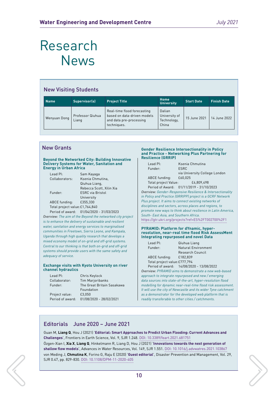### New Visiting Students

| <b>Name</b>  | Supervisor(s)             | <b>Project Title</b>                                                                                 | Home<br><b>University</b>                       | <b>Start Date</b> | <b>Finish Date</b> |
|--------------|---------------------------|------------------------------------------------------------------------------------------------------|-------------------------------------------------|-------------------|--------------------|
| Wenyuan Dong | Professor Qiuhua<br>Liang | Real-time flood forecasting<br>based on data-driven models<br>and data pre-processing<br>techniques. | Dalian<br>University of<br>Technology,<br>China | 15 June 2021      | 14 June 2022       |

#### **Beyond the Networked City: Building Innovative Delivery Systems for Water, Sanitation and Energy in Urban Africa**

| Leaf Pl:                         | Sam Kayaga               |
|----------------------------------|--------------------------|
| Collaborators:                   | Ksenia Chmutina,         |
|                                  | Qiuhua Liang,            |
|                                  | Rebecca Scott, Xilin Xia |
| Funder:                          | <b>ESRC</b> via Bristol  |
|                                  | University               |
| ABCE funding:                    | £355.330                 |
| Total project value: £1,764,840  |                          |
| $D$ smind of oursed $01/0/12020$ | 21/02/2022               |

Period of award: 01/04/2020 - 31/03/2023 *Overview: The aim of the Beyond the networked city project is to enhance the delivery of sustainable and resilient water, sanitation and energy services to marginalised communities in Freetown, Sierra Leone, and Kampala, Uganda through high quality research that develops a mixed economy model of on-grid and off-grid systems. Central to our thinking is that both on-grid and off-grid systems should provide users with the same safety and adequacy of service.*

#### **Exchange visits with Kyoto University on river channel hydraulics**

| Chris Keylock              |
|----------------------------|
| <b>Tim Marjoribanks</b>    |
| The Great Britain Sasakawa |
| Foundation                 |
| £3.050                     |
| 01/08/2020 - 28/02/2021    |
|                            |

#### New Grants **Gender Resilience Intersectionality in Policy and Practice - Networking Plus Partnering for Resilience (GRRIP)**

| Lead PI: |
|----------|
| Funder:  |
|          |

Ksenia Chmutina **FSRC** 

via University College London ABCE funding: £60,025 Total project Value: £4,809,498 Period of Award: 01/11/2019 - 31/10/2023 *Overview: Gender-Responsive Resilience & Intersectionality* 

*in Policy and Practice (GRRIPP) project is a GCRF Network Plus project. It aims to connect existing networks of disciplines and sectors, across places and regions, to promote new ways to think about resilience in Latin America, South- East Asia, and Southern Africa.* 

<https://gtr.ukri.org/projects?ref=ES%2FT002700%2F1>

#### **PYRAMID: Platform for dYnamic, hyperresolution, near-real time flood Risk AssessMent Integrating repurposed and novel Data**

| Lead $Pl_1$                   | Qiuhua Liang        |  |
|-------------------------------|---------------------|--|
| Funder:                       | Natural Environment |  |
|                               | Research Council    |  |
| ABCE funding:                 | £182.839            |  |
| Total project value: £777,794 |                     |  |

Period of award: 14/08/2020 - 13/08/2022 *Overview: PYRAMID aims to demonstrate a new web-based approach to integrate repurposed and new / emerging data sources into state-of-the-art, hyper-resolution flood modelling for dynamic near-real-time flood risk assessment. It will use the city of Newcastle and its wider Tyne catchment as a demonstrator for the developed web platform that is readily transferable to other cities / catchments.*

### Editorials June 2020 – June 2021

Guan M, **Liang Q**, Hou J (2021) '**Editorial: Smart Approaches to Predict Urban Flooding: Current Advances and Challenges**', Frontiers in Earth Science, Vol. 9, SJR 1.248. [DOI: 10.3389/feart.2021.681751](https://www.frontiersin.org/articles/10.3389/feart.2021.681751/full) Özgen-Xian I, **Xia X**, **Liang Q**, Hinkelmann R, Liang D, Hou J (2021) '**Innovations towards the next generation of shallow flow models**', Advances in Water Resources, Vol. 149, SJR 1.551. [DOI: 10.1016/j.advwatres.2021.103867](https://doi.org/10.1016/j.advwatres.2021.103867) von Meding J, **Chmutina K**, Forino G, Raju E (2020) '**Guest editorial**', Disaster Prevention and Management, Vol. 29, SJR 0.47, pp. 829-830. [DOI: 10.1108/DPM-11-2020-405](https://doi.org/10.1108/DPM-11-2020-405)

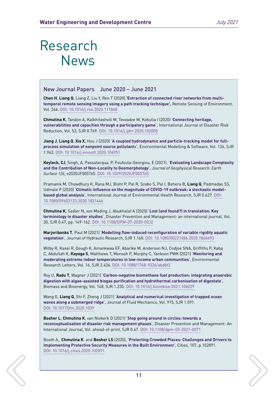#### New Journal Papers June 2020 – June 2021

**Chen H**, **Liang Q**, Liang Z, Liu Y, Ren T (2020) **'Extraction of connected river networks from multitemporal remote sensing imagery using a path tracking technique',** Remote Sensing of Environment, Vol. 246. [DOI: 10.1016/j.rse.2020.111868](https://doi.org/10.17028/rd.lboro.12656828)

**Chmutina K**, Tandon A, Kalkhitashvili M, Tevzadze M, Kobulia I (2020) '**Connecting heritage, vulnerabilities and capacities through a participatory game**', International Journal of Disaster Risk Reduction, Vol. 53, SJR 0.769. [DOI: 10.1016/j.ijdrr.2020.102005](https://doi.org/10.1016/j.ijdrr.2020.102005)

**Jiang J**, **Liang Q**, **Xia X**, Hou J (2020) '**A coupled hydrodynamic and particle-tracking model for fullprocess simulation of nonpoint source pollutant**s', Environmental Modelling & Software, Vol. 136, SJR 1.963. [DOI: 10.1016/j.envsoft.2020.104951](https://doi.org/10.1016/j.envsoft.2020.104951)

**Keylock, CJ**, Singh, A, Passalacqua, P, Foufoula-Georgiou, E (2021). '**Evaluating Landscape Complexity and the Contribution of Non-Locality to Geomorphology**', *Journal of Geophysical Research: Earth Surface 126,* e2020JF005765. [DOI: 10.1029/2020JF005765](https://doi.org/10.1029/2020JF005765)

Pramanik M, Chowdhury K, Rana MJ, Bisht P, Pal R, Szabo S, Pal I, Behera B, **Liang Q**, Padmadas SS, Udmale P (2020) '**Climatic influence on the magnitude of COVID-19 outbreak: a stochastic modelbased global analysis**', International Journal of Environmental Health Research, SJR 0.627. [DOI:](https://doi.org/10.6084/m9.figshare.13132995.v1)  [10.1080/09603123.2020.1831446](https://doi.org/10.6084/m9.figshare.13132995.v1)

**Chmutina K**, Sadler N, von Meding J, Abukhalaf A (2020) '**Lost (and found?) in translation: Key terminology in disaster studies**', Disaster Prevention and Management: an international journal, Vol. 30, SJR 0.47, pp. 149-162. [DOI: 10.1108/DPM-07-2020-0232](https://doi.org/10.1108/DPM-07-2020-0232)

**Marjoribanks T**, Paul M (2021) '**Modelling flow-induced reconfiguration of variable rigidity aquatic vegetation**', Journal of Hydraulic Research, SJR 1.168. [DOI: 10.1080/00221686.2020.1866693](https://doi.org/10.1080/00221686.2020.1866693)

Wilby R, Kasei R, Gough K, Amankwaa EF, Abarike M, Anderson NJ, Codjoe SNA, Griffiths P, Kaba C, Abdullah K, **Kayaga S**, Matthews T, Mensah P, Murphy C, Yankson PWK (2021) '**Monitoring and moderating extreme indoor temperatures in low-income urban communities**', Environmental Research Letters, Vol. 16, SJR 2.436. [DOI: 10.1088/1748-9326/abdbf2](https://doi.org/10.1088/1748-9326/abdbf2)

Roy U, **Radu T**, Wagner J (2021) '**Carbon-negative biomethane fuel production: integrating anaerobic digestion with algae-assisted biogas purification and hydrothermal carbonisation of digestate**', Biomass and Bioenergy, Vol. 148, SJR 1.235. [DOI: 10.1016/j.biombioe.2021.106029](https://doi.org/10.1016/j.biombioe.2021.106029)

Wang G, **Liang Q**, Shi F, Zheng J (2021) '**Analytical and numerical investigation of trapped ocean waves along a submerged ridge**', Journal of Fluid Mechanics, Vol. 915, SJR 1.591. [DOI: 10.1017/jfm.2020.1039](https://doi.org/10.1017/jfm.2020.1039)

**Bosher L**, **Chmutina K**, van Niekerk D (2021) '**Stop going around in circles: towards a reconceptualisation of disaster risk management phases**', Disaster Prevention and Management: An International Journal, Vol. ahead-of-print, SJR 0.47. [DOI: 10.1108/dpm-03-2021-0071](https://doi.org/10.1108/dpm-03-2021-0071)

Booth A., **Chmutina K**. and **Bosher LS** (2020), '**Protecting Crowded Places: Challenges and Drivers to Implementing Protective Security Measures in the Built Environmen**t', Cities, 107, p.102891. [DOI: 10.1016/j.cities.2020.102891](https://doi.org/10.1016/j.cities.2020.102891)